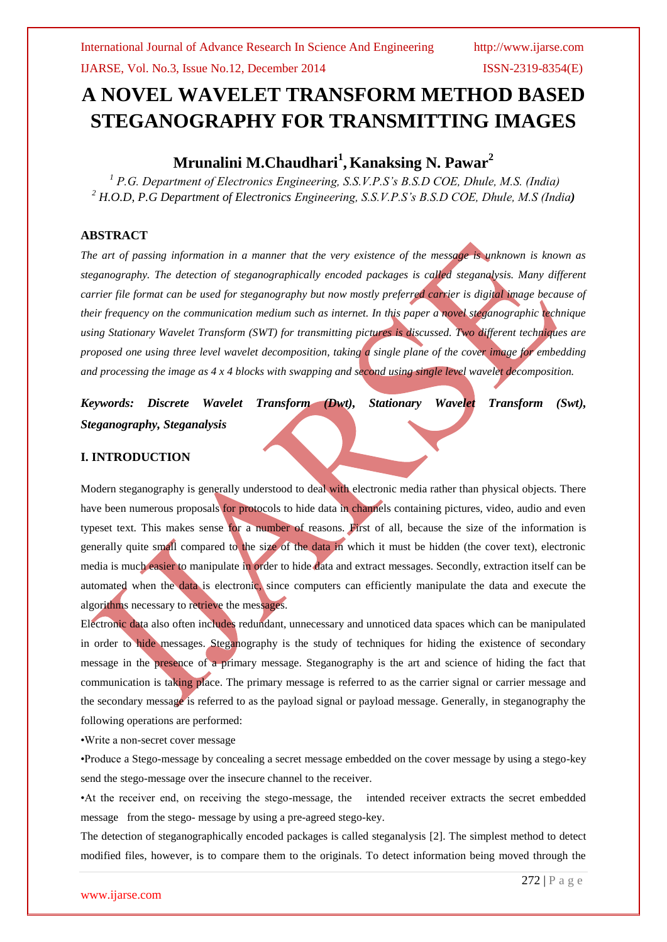# **A NOVEL WAVELET TRANSFORM METHOD BASED STEGANOGRAPHY FOR TRANSMITTING IMAGES**

# **Mrunalini M.Chaudhari<sup>1</sup> , Kanaksing N. Pawar<sup>2</sup>**

*<sup>1</sup> P.G. Department of Electronics Engineering, S.S.V.P.S's B.S.D COE, Dhule, M.S. (India) <sup>2</sup> H.O.D, P.G Department of Electronics Engineering, S.S.V.P.S's B.S.D COE, Dhule, M.S (India)*

#### **ABSTRACT**

*The art of passing information in a manner that the very existence of the message is unknown is known as steganography. The detection of steganographically encoded packages is called steganalysis. Many different carrier file format can be used for steganography but now mostly preferred carrier is digital image because of their frequency on the communication medium such as internet. In this paper a novel steganographic technique using Stationary Wavelet Transform (SWT) for transmitting pictures is discussed. Two different techniques are proposed one using three level wavelet decomposition, taking a single plane of the cover image for embedding and processing the image as 4 x 4 blocks with swapping and second using single level wavelet decomposition.*

*Keywords: Discrete Wavelet Transform (Dwt), Stationary Wavelet Transform (Swt), Steganography, Steganalysis*

#### **I. INTRODUCTION**

Modern steganography is generally understood to deal with electronic media rather than physical objects. There have been numerous proposals for protocols to hide data in channels containing pictures, video, audio and even typeset text. This makes sense for a number of reasons. First of all, because the size of the information is generally quite small compared to the size of the data in which it must be hidden (the cover text), electronic media is much easier to manipulate in order to hide data and extract messages. Secondly, extraction itself can be automated when the data is electronic, since computers can efficiently manipulate the data and execute the algorithms necessary to retrieve the messages.

Electronic data also often includes redundant, unnecessary and unnoticed data spaces which can be manipulated in order to hide messages. Steganography is the study of techniques for hiding the existence of secondary message in the presence of a primary message. Steganography is the art and science of hiding the fact that communication is taking place. The primary message is referred to as the carrier signal or carrier message and the secondary message is referred to as the payload signal or payload message. Generally, in steganography the following operations are performed:

•Write a non-secret cover message

•Produce a Stego-message by concealing a secret message embedded on the cover message by using a stego-key send the stego-message over the insecure channel to the receiver.

•At the receiver end, on receiving the stego-message, the intended receiver extracts the secret embedded message from the stego- message by using a pre-agreed stego-key.

The detection of steganographically encoded packages is called steganalysis [2]. The simplest method to detect modified files, however, is to compare them to the originals. To detect information being moved through the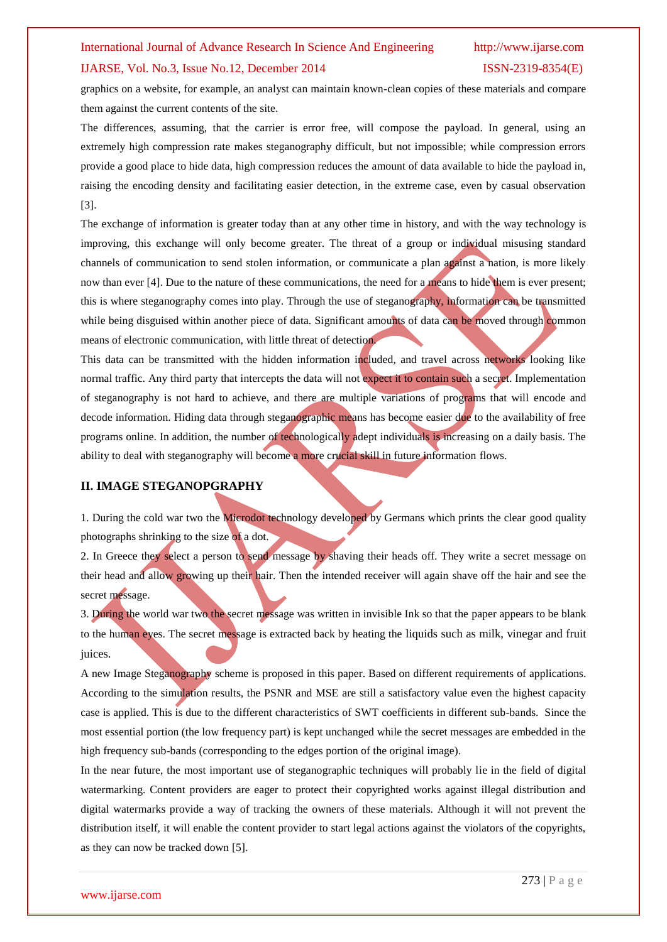#### IJARSE, Vol. No.3, Issue No.12, December 2014 ISSN-2319-8354(E)

graphics on a website, for example, an analyst can maintain known-clean copies of these materials and compare them against the current contents of the site.

The differences, assuming, that the carrier is error free, will compose the payload. In general, using an extremely high compression rate makes steganography difficult, but not impossible; while compression errors provide a good place to hide data, high compression reduces the amount of data available to hide the payload in, raising the encoding density and facilitating easier detection, in the extreme case, even by casual observation [3].

The exchange of information is greater today than at any other time in history, and with the way technology is improving, this exchange will only become greater. The threat of a group or individual misusing standard channels of communication to send stolen information, or communicate a plan against a nation, is more likely now than ever [4]. Due to the nature of these communications, the need for a means to hide them is ever present; this is where steganography comes into play. Through the use of steganography, information can be transmitted while being disguised within another piece of data. Significant amounts of data can be moved through common means of electronic communication, with little threat of detection.

This data can be transmitted with the hidden information included, and travel across networks looking like normal traffic. Any third party that intercepts the data will not expect it to contain such a secret. Implementation of steganography is not hard to achieve, and there are multiple variations of programs that will encode and decode information. Hiding data through steganographic means has become easier due to the availability of free programs online. In addition, the number of technologically adept individuals is increasing on a daily basis. The ability to deal with steganography will become a more crucial skill in future information flows.

#### **II. IMAGE STEGANOPGRAPHY**

1. During the cold war two the Microdot technology developed by Germans which prints the clear good quality photographs shrinking to the size of a dot.

2. In Greece they select a person to send message by shaving their heads off. They write a secret message on their head and allow growing up their hair. Then the intended receiver will again shave off the hair and see the secret message.

3. During the world war two the secret message was written in invisible Ink so that the paper appears to be blank to the human eyes. The secret message is extracted back by heating the liquids such as milk, vinegar and fruit juices.

A new Image Steganography scheme is proposed in this paper. Based on different requirements of applications. According to the simulation results, the PSNR and MSE are still a satisfactory value even the highest capacity case is applied. This is due to the different characteristics of SWT coefficients in different sub-bands. Since the most essential portion (the low frequency part) is kept unchanged while the secret messages are embedded in the high frequency sub-bands (corresponding to the edges portion of the original image).

In the near future, the most important use of steganographic techniques will probably lie in the field of digital watermarking. Content providers are eager to protect their copyrighted works against illegal distribution and digital watermarks provide a way of tracking the owners of these materials. Although it will not prevent the distribution itself, it will enable the content provider to start legal actions against the violators of the copyrights, as they can now be tracked down [5].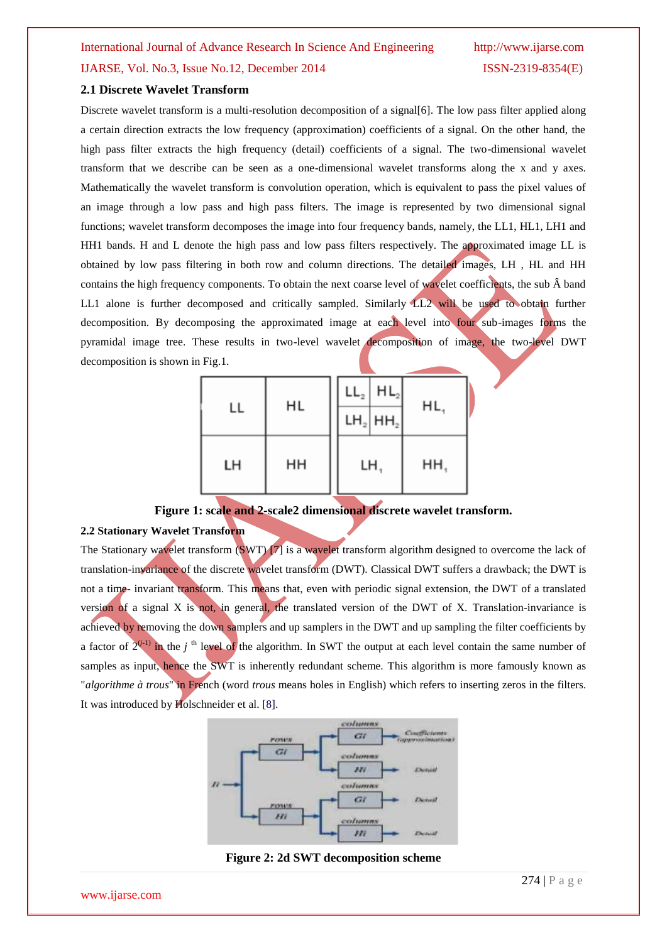#### **2.1 Discrete Wavelet Transform**

Discrete wavelet transform is a multi-resolution decomposition of a signal[6]. The low pass filter applied along a certain direction extracts the low frequency (approximation) coefficients of a signal. On the other hand, the high pass filter extracts the high frequency (detail) coefficients of a signal. The two-dimensional wavelet transform that we describe can be seen as a one-dimensional wavelet transforms along the x and y axes. Mathematically the wavelet transform is convolution operation, which is equivalent to pass the pixel values of an image through a low pass and high pass filters. The image is represented by two dimensional signal functions; wavelet transform decomposes the image into four frequency bands, namely, the LL1, HL1, LH1 and HH1 bands. H and L denote the high pass and low pass filters respectively. The approximated image LL is obtained by low pass filtering in both row and column directions. The detailed images, LH , HL and HH contains the high frequency components. To obtain the next coarse level of wavelet coefficients, the sub  $\hat{A}$  band LL1 alone is further decomposed and critically sampled. Similarly LL2 will be used to obtain further decomposition. By decomposing the approximated image at each level into four sub-images forms the pyramidal image tree. These results in two-level wavelet decomposition of image, the two-level DWT decomposition is shown in Fig.1.

| LL | HL | $LL_{2}$ $HL_{2}$<br>$LH_2$ HH <sub>2</sub> | HL, |
|----|----|---------------------------------------------|-----|
| LH | HH | LH,                                         | HH, |

#### **Figure 1: scale and 2-scale2 dimensional discrete wavelet transform.**

#### **2.2 Stationary Wavelet Transform**

The Stationary wavelet transform (SWT) [7] is a wavelet transform algorithm designed to overcome the lack of translation-invariance of the discrete wavelet transform (DWT). Classical DWT suffers a drawback; the DWT is not a time- invariant transform. This means that, even with periodic signal extension, the DWT of a translated version of a signal X is not, in general, the translated version of the DWT of X. Translation-invariance is achieved by removing the down samplers and up samplers in the DWT and up sampling the filter coefficients by a factor of  $2^{(j-1)}$  in the *j*<sup>th</sup> level of the algorithm. In SWT the output at each level contain the same number of samples as input, hence the SWT is inherently redundant scheme. This algorithm is more famously known as "*algorithme à trous*" in French (word *trous* means holes in English) which refers to inserting zeros in the filters. It was introduced by Holschneider et al. [8].



**Figure 2: 2d SWT decomposition scheme**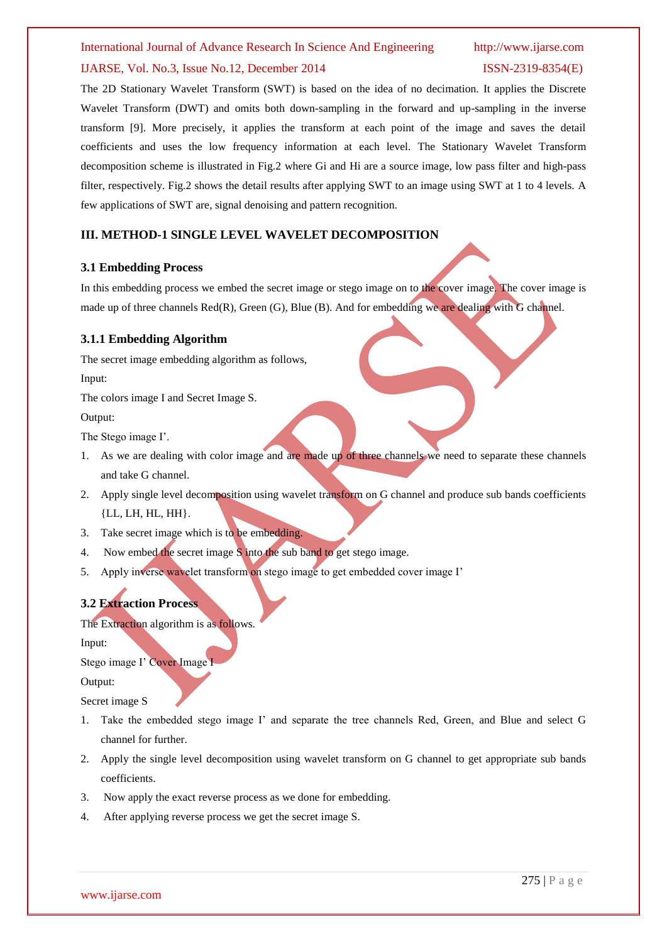#### IJARSE, Vol. No.3, Issue No.12, December 2014 ISSN-2319-8354(E)

The 2D Stationary Wavelet Transform (SWT) is based on the idea of no decimation. It applies the Discrete Wavelet Transform (DWT) and omits both down-sampling in the forward and up-sampling in the inverse transform [9]. More precisely, it applies the transform at each point of the image and saves the detail coefficients and uses the low frequency information at each level. The Stationary Wavelet Transform decomposition scheme is illustrated in Fig.2 where Gi and Hi are a source image, low pass filter and high-pass filter, respectively. Fig.2 shows the detail results after applying SWT to an image using SWT at 1 to 4 levels. A few applications of SWT are, signal denoising and pattern recognition.

#### **III. METHOD-1 SINGLE LEVEL WAVELET DECOMPOSITION**

#### **3.1 Embedding Process**

In this embedding process we embed the secret image or stego image on to the cover image. The cover image is made up of three channels Red(R), Green (G), Blue (B). And for embedding we are dealing with G channel.

#### **3.1.1 Embedding Algorithm**

The secret image embedding algorithm as follows,

Input:

The colors image I and Secret Image S.

Output:

The Stego image I'.

- 1. As we are dealing with color image and are made up of three channels we need to separate these channels and take G channel.
- 2. Apply single level decomposition using wavelet transform on G channel and produce sub bands coefficients {LL, LH, HL, HH}.
- 3. Take secret image which is to be embedding.
- 4. Now embed the secret image S into the sub band to get stego image.
- 5. Apply inverse wavelet transform on stego image to get embedded cover image I'

#### **3.2 Extraction Process**

The Extraction algorithm is as follows.

Input:

Stego image I' Cover Image

Output:

Secret image S

- 1. Take the embedded stego image I' and separate the tree channels Red, Green, and Blue and select G channel for further.
- 2. Apply the single level decomposition using wavelet transform on G channel to get appropriate sub bands coefficients.
- 3. Now apply the exact reverse process as we done for embedding.
- 4. After applying reverse process we get the secret image S.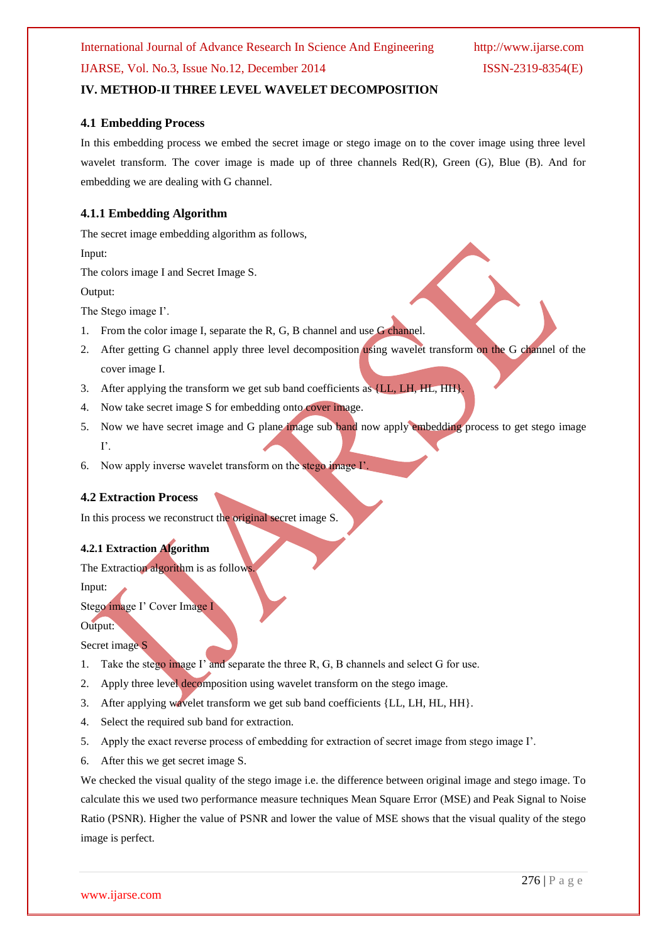### **IV. METHOD-II THREE LEVEL WAVELET DECOMPOSITION**

#### **4.1 Embedding Process**

In this embedding process we embed the secret image or stego image on to the cover image using three level wavelet transform. The cover image is made up of three channels Red(R), Green (G), Blue (B). And for embedding we are dealing with G channel.

#### **4.1.1 Embedding Algorithm**

The secret image embedding algorithm as follows,

Input:

The colors image I and Secret Image S.

Output:

The Stego image I'.

- 1. From the color image I, separate the R, G, B channel and use G channel.
- 2. After getting G channel apply three level decomposition using wavelet transform on the G channel of the cover image I.
- 3. After applying the transform we get sub band coefficients as {LL, LH, HL, HH}
- 4. Now take secret image S for embedding onto cover image.
- 5. Now we have secret image and G plane image sub band now apply embedding process to get stego image I'.
- 6. Now apply inverse wavelet transform on the stego image I'.

#### **4.2 Extraction Process**

In this process we reconstruct the original secret image S.

#### **4.2.1 Extraction Algorithm**

The Extraction algorithm is as follows.

Input:

Stego image I' Cover Image I

Output: Secret image S

- 1. Take the stego image I' and separate the three R, G, B channels and select G for use.
- 2. Apply three level decomposition using wavelet transform on the stego image.
- 3. After applying wavelet transform we get sub band coefficients {LL, LH, HL, HH}.
- 4. Select the required sub band for extraction.
- 5. Apply the exact reverse process of embedding for extraction of secret image from stego image I'.
- 6. After this we get secret image S.

We checked the visual quality of the stego image i.e. the difference between original image and stego image. To calculate this we used two performance measure techniques Mean Square Error (MSE) and Peak Signal to Noise Ratio (PSNR). Higher the value of PSNR and lower the value of MSE shows that the visual quality of the stego image is perfect.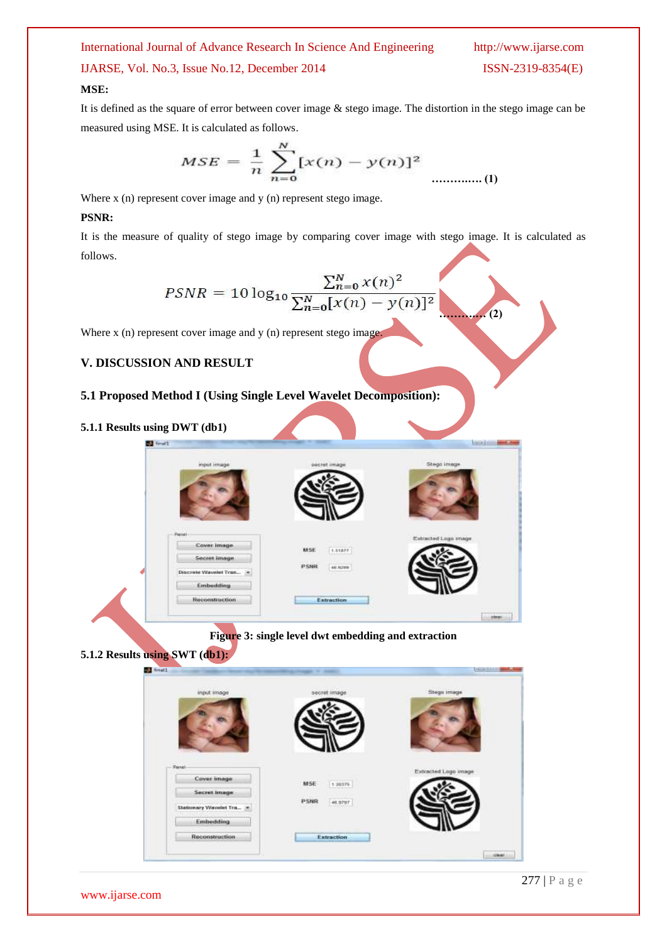IJARSE, Vol. No.3, Issue No.12, December 2014 ISSN-2319-8354(E)

 $(2)$ 

#### **MSE:**

It is defined as the square of error between cover image & stego image. The distortion in the stego image can be measured using MSE. It is calculated as follows.

$$
MSE = \frac{1}{n} \sum_{n=0}^{N} [x(n) - y(n)]^{2}
$$
 ....... (1)

Where x (n) represent cover image and y (n) represent stego image.

#### **PSNR:**

It is the measure of quality of stego image by comparing cover image with stego image. It is calculated as follows.

$$
PSNR = 10 \log_{10} \frac{\sum_{n=0}^{N} x(n)^2}{\sum_{n=0}^{N} [x(n) - y(n)]^2}
$$

Where x (n) represent cover image and y (n) represent stego image.

### **V. DISCUSSION AND RESULT**

### **5.1 Proposed Method I (Using Single Level Wavelet Decomposition):**

**5.1.1 Results using DWT (db1)**  $\mathbf{H}$  final  $1888$ **Figure 3: single level dwt embedding and extraction 5.1.2 Results using SWT (db1): STE** Snall **MSE**  $1.30176$ PSNR 46,9797 Extraction  $-$  ceal.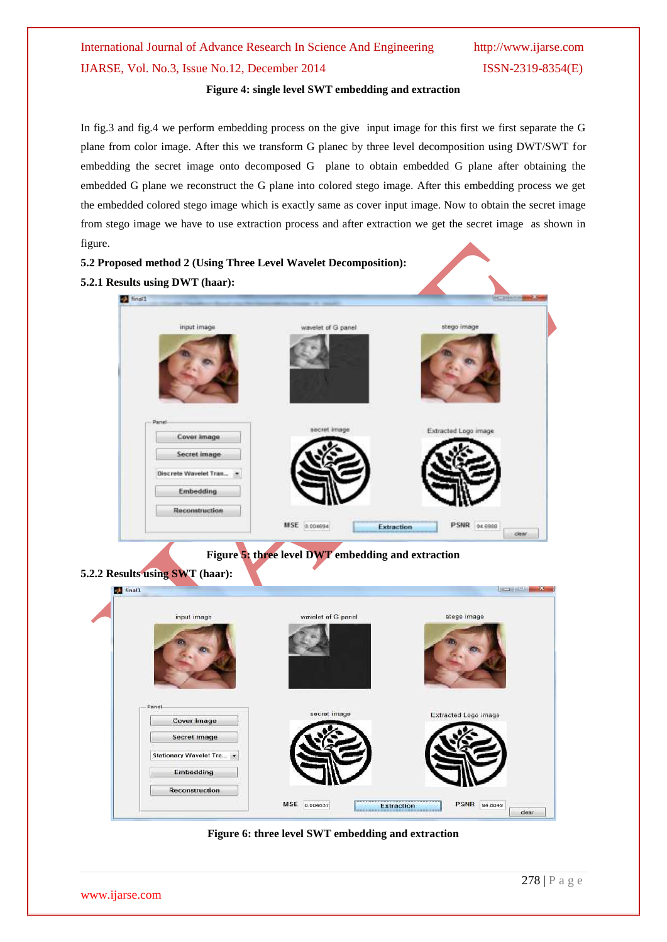# International Journal of Advance Research In Science And Engineering http://www.ijarse.com IJARSE, Vol. No.3, Issue No.12, December 2014 ISSN-2319-8354(E)

#### **Figure 4: single level SWT embedding and extraction**

In fig.3 and fig.4 we perform embedding process on the give input image for this first we first separate the G plane from color image. After this we transform G planec by three level decomposition using DWT/SWT for embedding the secret image onto decomposed G plane to obtain embedded G plane after obtaining the embedded G plane we reconstruct the G plane into colored stego image. After this embedding process we get the embedded colored stego image which is exactly same as cover input image. Now to obtain the secret image from stego image we have to use extraction process and after extraction we get the secret image as shown in figure.



**Figure 6: three level SWT embedding and extraction**

www.ijarse.com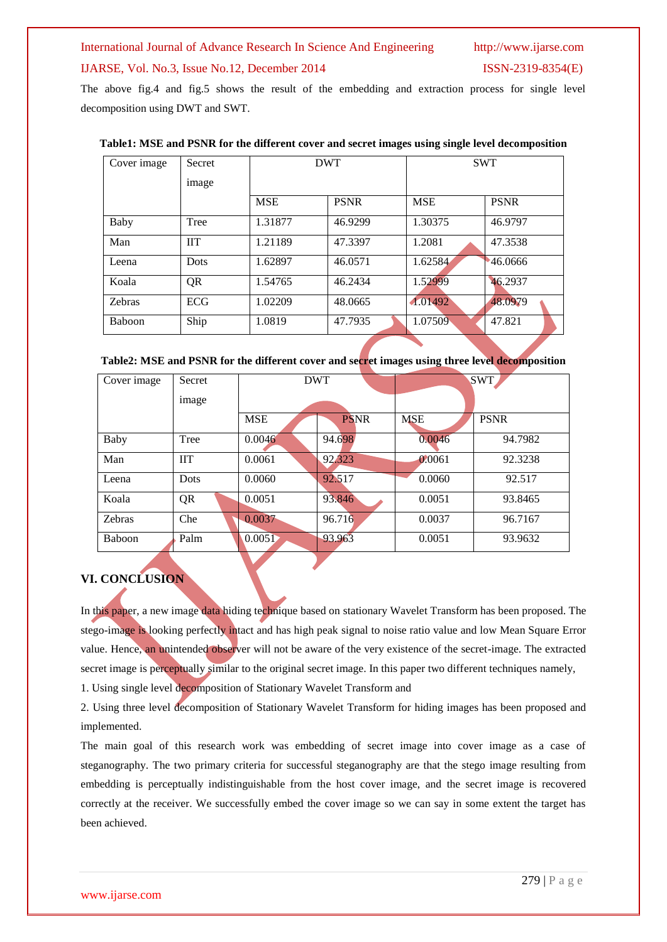#### IJARSE, Vol. No.3, Issue No.12, December 2014 ISSN-2319-8354(E)

The above fig.4 and fig.5 shows the result of the embedding and extraction process for single level decomposition using DWT and SWT.

| Cover image | <b>Secret</b> |            | <b>DWT</b>  |            | <b>SWT</b>  |  |
|-------------|---------------|------------|-------------|------------|-------------|--|
|             | image         |            |             |            |             |  |
|             |               | <b>MSE</b> | <b>PSNR</b> | <b>MSE</b> | <b>PSNR</b> |  |
| Baby        | Tree          | 1.31877    | 46.9299     | 1.30375    | 46.9797     |  |
| Man         | <b>IIT</b>    | 1.21189    | 47.3397     | 1.2081     | 47.3538     |  |
| Leena       | <b>Dots</b>   | 1.62897    | 46.0571     | 1.62584    | 46.0666     |  |
| Koala       | QR            | 1.54765    | 46.2434     | 1.52999    | 46.2937     |  |
| Zebras      | <b>ECG</b>    | 1.02209    | 48.0665     | 1.01492    | 48.0979     |  |
| Baboon      | Ship          | 1.0819     | 47.7935     | 1.07509    | 47.821      |  |

#### **Table1: MSE and PSNR for the different cover and secret images using single level decomposition**

| Table2: MSE and PSNR for the different cover and secret images using three level decomposition |  |  |  |
|------------------------------------------------------------------------------------------------|--|--|--|
|------------------------------------------------------------------------------------------------|--|--|--|

| Cover image   | Secret      | <b>DWT</b> |             | <b>SWT</b> |             |
|---------------|-------------|------------|-------------|------------|-------------|
|               | image       |            |             |            |             |
|               |             | <b>MSE</b> | <b>PSNR</b> | <b>MSE</b> | <b>PSNR</b> |
| Baby          | Tree        | 0.0046     | 94.698      | 0.0046     | 94.7982     |
| Man           | <b>IIT</b>  | 0.0061     | 92.323      | 0.0061     | 92.3238     |
| Leena         | <b>Dots</b> | 0.0060     | 92.517      | 0.0060     | 92.517      |
| Koala         | QR          | 0.0051     | 93.846      | 0.0051     | 93.8465     |
| Zebras        | Che         | 0.0037     | 96.716      | 0.0037     | 96.7167     |
| <b>Baboon</b> | Palm        | 0.0051     | 93.963      | 0.0051     | 93.9632     |
|               |             |            |             |            |             |

### **VI. CONCLUSION**

In this paper, a new image data hiding technique based on stationary Wavelet Transform has been proposed. The stego-image is looking perfectly intact and has high peak signal to noise ratio value and low Mean Square Error value. Hence, an unintended observer will not be aware of the very existence of the secret-image. The extracted secret image is perceptually similar to the original secret image. In this paper two different techniques namely, 1. Using single level decomposition of Stationary Wavelet Transform and

2. Using three level decomposition of Stationary Wavelet Transform for hiding images has been proposed and implemented.

The main goal of this research work was embedding of secret image into cover image as a case of steganography. The two primary criteria for successful steganography are that the stego image resulting from embedding is perceptually indistinguishable from the host cover image, and the secret image is recovered correctly at the receiver. We successfully embed the cover image so we can say in some extent the target has been achieved.